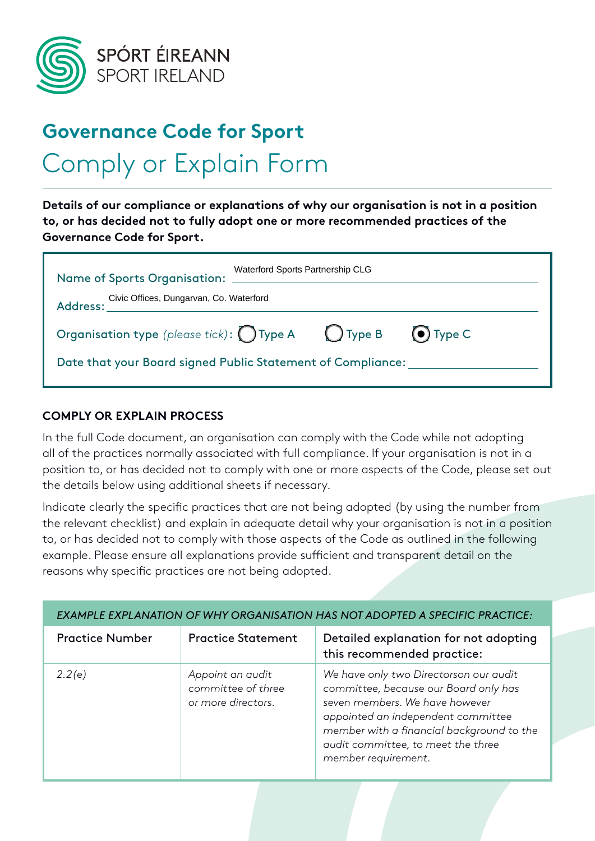

## **Governance Code for Sport** Comply or Explain Form

**Details of our compliance or explanations of why our organisation is not in a position to, or has decided not to fully adopt one or more recommended practices of the Governance Code for Sport.**

| <b>Name of Sports Organisation:</b>                         | Waterford Sports Partnership CLG                                                     |  |  |  |  |  |
|-------------------------------------------------------------|--------------------------------------------------------------------------------------|--|--|--|--|--|
| Civic Offices, Dungarvan, Co. Waterford<br>Address: __      |                                                                                      |  |  |  |  |  |
|                                                             | Organisation type (please tick): $\bigcap$ Type A $\bigcup$ Type B $\bigcirc$ Type C |  |  |  |  |  |
| Date that your Board signed Public Statement of Compliance: |                                                                                      |  |  |  |  |  |

#### **COMPLY OR EXPLAIN PROCESS**

In the full Code document, an organisation can comply with the Code while not adopting all of the practices normally associated with full compliance. If your organisation is not in a position to, or has decided not to comply with one or more aspects of the Code, please set out the details below using additional sheets if necessary.

Indicate clearly the specific practices that are not being adopted (by using the number from the relevant checklist) and explain in adequate detail why your organisation is not in a position to, or has decided not to comply with those aspects of the Code as outlined in the following example. Please ensure all explanations provide sufficient and transparent detail on the reasons why specific practices are not being adopted.

| EXAMPLE EXPLANATION OF WHY ORGANISATION HAS NOT ADOPTED A SPECIFIC PRACTICE: |                                                              |                                                                                                                                                                                                                                                                   |  |  |  |  |  |
|------------------------------------------------------------------------------|--------------------------------------------------------------|-------------------------------------------------------------------------------------------------------------------------------------------------------------------------------------------------------------------------------------------------------------------|--|--|--|--|--|
| <b>Practice Number</b>                                                       | <b>Practice Statement</b>                                    | Detailed explanation for not adopting<br>this recommended practice:                                                                                                                                                                                               |  |  |  |  |  |
| 2.2(e)                                                                       | Appoint an audit<br>committee of three<br>or more directors. | We have only two Directorson our audit<br>committee, because our Board only has<br>seven members. We have however<br>appointed an independent committee<br>member with a financial background to the<br>audit committee, to meet the three<br>member requirement. |  |  |  |  |  |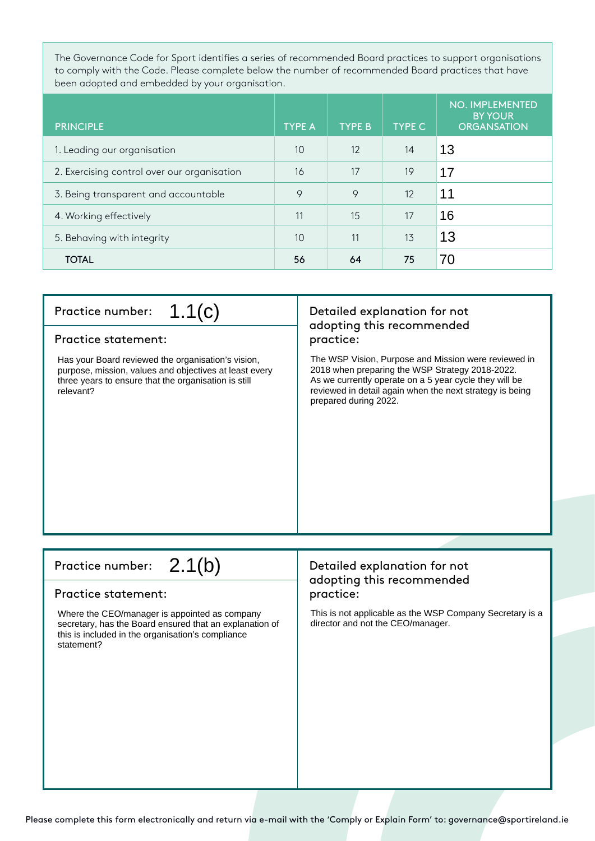The Governance Code for Sport identifies a series of recommended Board practices to support organisations to comply with the Code. Please complete below the number of recommended Board practices that have been adopted and embedded by your organisation.

| <b>PRINCIPLE</b>                            | <b>TYPE A</b> | <b>TYPE B</b> | <b>TYPE C</b> | <b>NO. IMPLEMENTED</b><br><b>BY YOUR</b><br><b>ORGANSATION</b> |
|---------------------------------------------|---------------|---------------|---------------|----------------------------------------------------------------|
| 1. Leading our organisation                 | 10            | 12            | 14            | 13                                                             |
| 2. Exercising control over our organisation | 16            | 17            | 19            | 17                                                             |
| 3. Being transparent and accountable        | 9             | 9             | 12            | 11                                                             |
| 4. Working effectively                      | 11            | 15            | 17            | 16                                                             |
| 5. Behaving with integrity                  | 10            | 11            | 13            | 13                                                             |
| <b>TOTAL</b>                                | 56            | 64            | 75            | 70                                                             |

#### Practice number:  $\mathcal{L}(\mathcal{C})$  Detailed explanation for not 1.1(c)

#### Practice statement: practice:

Has your Board reviewed the organisation's vision, purpose, mission, values and objectives at least every three years to ensure that the organisation is still relevant?

# adopting this recommended

The WSP Vision, Purpose and Mission were reviewed in 2018 when preparing the WSP Strategy 2018-2022. As we currently operate on a 5 year cycle they will be reviewed in detail again when the next strategy is being prepared during 2022.

### 2.1(b)

#### Practice statement: practice:

Where the CEO/manager is appointed as company secretary, has the Board ensured that an explanation of this is included in the organisation's compliance statement?

## Practice number:  $2.1(b)$  Detailed explanation for not adopting this recommended

This is not applicable as the WSP Company Secretary is a director and not the CEO/manager.